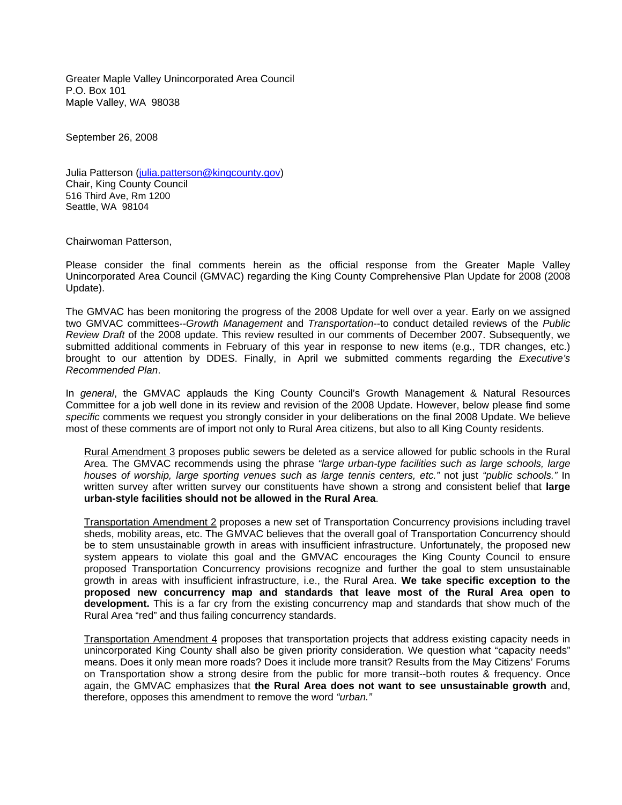Greater Maple Valley Unincorporated Area Council P.O. Box 101 Maple Valley, WA 98038

September 26, 2008

Julia Patterson [\(julia.patterson@kingcounty.gov\)](mailto:julia.patterson@kingcounty.gov) Chair, King County Council 516 Third Ave, Rm 1200 Seattle, WA 98104

Chairwoman Patterson,

Please consider the final comments herein as the official response from the Greater Maple Valley Unincorporated Area Council (GMVAC) regarding the King County Comprehensive Plan Update for 2008 (2008 Update).

The GMVAC has been monitoring the progress of the 2008 Update for well over a year. Early on we assigned two GMVAC committees--*Growth Management* and *Transportation*--to conduct detailed reviews of the *Public Review Draft* of the 2008 update. This review resulted in our comments of December 2007. Subsequently, we submitted additional comments in February of this year in response to new items (e.g., TDR changes, etc.) brought to our attention by DDES. Finally, in April we submitted comments regarding the *Executive's Recommended Plan*.

In *general*, the GMVAC applauds the King County Council's Growth Management & Natural Resources Committee for a job well done in its review and revision of the 2008 Update. However, below please find some *specific* comments we request you strongly consider in your deliberations on the final 2008 Update. We believe most of these comments are of import not only to Rural Area citizens, but also to all King County residents.

Rural Amendment 3 proposes public sewers be deleted as a service allowed for public schools in the Rural Area. The GMVAC recommends using the phrase *"large urban-type facilities such as large schools, large houses of worship, large sporting venues such as large tennis centers, etc."* not just *"public schools."* In written survey after written survey our constituents have shown a strong and consistent belief that **large urban-style facilities should not be allowed in the Rural Area**.

Transportation Amendment 2 proposes a new set of Transportation Concurrency provisions including travel sheds, mobility areas, etc. The GMVAC believes that the overall goal of Transportation Concurrency should be to stem unsustainable growth in areas with insufficient infrastructure. Unfortunately, the proposed new system appears to violate this goal and the GMVAC encourages the King County Council to ensure proposed Transportation Concurrency provisions recognize and further the goal to stem unsustainable growth in areas with insufficient infrastructure, i.e., the Rural Area. **We take specific exception to the proposed new concurrency map and standards that leave most of the Rural Area open to development.** This is a far cry from the existing concurrency map and standards that show much of the Rural Area "red" and thus failing concurrency standards.

Transportation Amendment 4 proposes that transportation projects that address existing capacity needs in unincorporated King County shall also be given priority consideration. We question what "capacity needs" means. Does it only mean more roads? Does it include more transit? Results from the May Citizens' Forums on Transportation show a strong desire from the public for more transit--both routes & frequency. Once again, the GMVAC emphasizes that **the Rural Area does not want to see unsustainable growth** and, therefore, opposes this amendment to remove the word *"urban."*